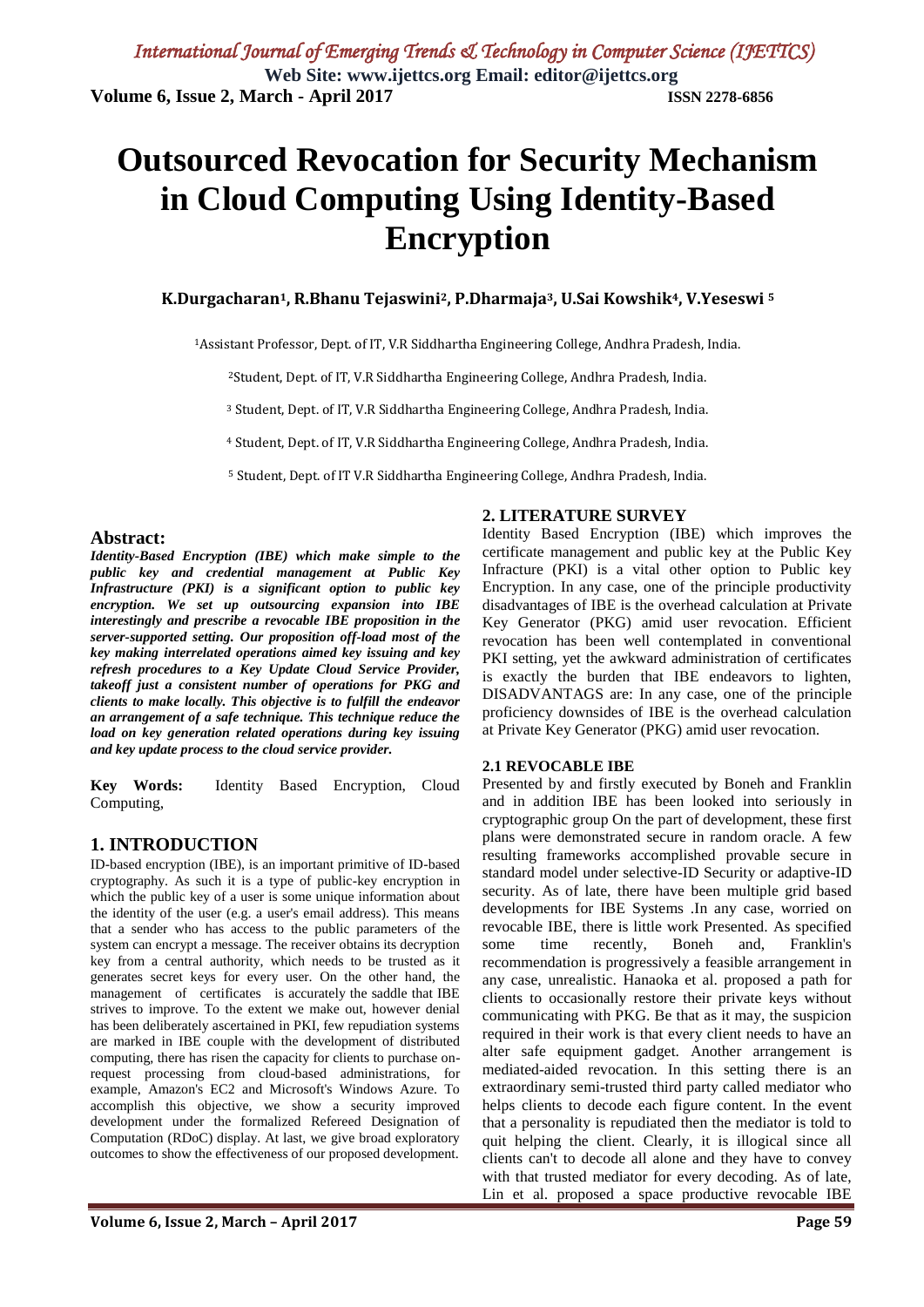# **Outsourced Revocation for Security Mechanism in Cloud Computing Using Identity-Based Encryption**

#### **K.Durgacharan1, R.Bhanu Tejaswini2, P.Dharmaja3, U.Sai Kowshik4, V.Yeseswi <sup>5</sup>**

<sup>1</sup>Assistant Professor, Dept. of IT, V.R Siddhartha Engineering College, Andhra Pradesh, India.

<sup>2</sup>Student, Dept. of IT, V.R Siddhartha Engineering College, Andhra Pradesh, India.

<sup>3</sup> Student, Dept. of IT, V.R Siddhartha Engineering College, Andhra Pradesh, India.

<sup>4</sup> Student, Dept. of IT, V.R Siddhartha Engineering College, Andhra Pradesh, India.

<sup>5</sup> Student, Dept. of IT V.R Siddhartha Engineering College, Andhra Pradesh, India.

#### **Abstract:**

*Identity-Based Encryption (IBE) which make simple to the public key and credential management at Public Key Infrastructure (PKI) is a significant option to public key encryption. We set up outsourcing expansion into IBE interestingly and prescribe a revocable IBE proposition in the server-supported setting. Our proposition off-load most of the key making interrelated operations aimed key issuing and key refresh procedures to a Key Update Cloud Service Provider, takeoff just a consistent number of operations for PKG and clients to make locally. This objective is to fulfill the endeavor an arrangement of a safe technique. This technique reduce the load on key generation related operations during key issuing and key update process to the cloud service provider.*

**Key Words:** Identity Based Encryption, Cloud Computing,

#### **1. INTRODUCTION**

ID-based encryption (IBE), is an important primitive of ID-based cryptography. As such it is a type of public-key encryption in which the public key of a user is some unique information about the identity of the user (e.g. a user's email address). This means that a sender who has access to the public parameters of the system can encrypt a message. The receiver obtains its decryption key from a central authority, which needs to be trusted as it generates secret keys for every user. On the other hand, the management of certificates is accurately the saddle that IBE strives to improve. To the extent we make out, however denial has been deliberately ascertained in PKI, few repudiation systems are marked in IBE couple with the development of distributed computing, there has risen the capacity for clients to purchase onrequest processing from cloud-based administrations, for example, Amazon's EC2 and Microsoft's Windows Azure. To accomplish this objective, we show a security improved development under the formalized Refereed Designation of Computation (RDoC) display. At last, we give broad exploratory outcomes to show the effectiveness of our proposed development.

#### **2. LITERATURE SURVEY**

Identity Based Encryption (IBE) which improves the certificate management and public key at the Public Key Infracture (PKI) is a vital other option to Public key Encryption. In any case, one of the principle productivity disadvantages of IBE is the overhead calculation at Private Key Generator (PKG) amid user revocation. Efficient revocation has been well contemplated in conventional PKI setting, yet the awkward administration of certificates is exactly the burden that IBE endeavors to lighten, DISADVANTAGS are: In any case, one of the principle proficiency downsides of IBE is the overhead calculation at Private Key Generator (PKG) amid user revocation.

#### **2.1 REVOCABLE IBE**

Presented by and firstly executed by Boneh and Franklin and in addition IBE has been looked into seriously in cryptographic group On the part of development, these first plans were demonstrated secure in random oracle. A few resulting frameworks accomplished provable secure in standard model under selective-ID Security or adaptive-ID security. As of late, there have been multiple grid based developments for IBE Systems .In any case, worried on revocable IBE, there is little work Presented. As specified some time recently, Boneh and, Franklin's recommendation is progressively a feasible arrangement in any case, unrealistic. Hanaoka et al. proposed a path for clients to occasionally restore their private keys without communicating with PKG. Be that as it may, the suspicion required in their work is that every client needs to have an alter safe equipment gadget. Another arrangement is mediated-aided revocation. In this setting there is an extraordinary semi-trusted third party called mediator who helps clients to decode each figure content. In the event that a personality is repudiated then the mediator is told to quit helping the client. Clearly, it is illogical since all clients can't to decode all alone and they have to convey with that trusted mediator for every decoding. As of late, Lin et al. proposed a space productive revocable IBE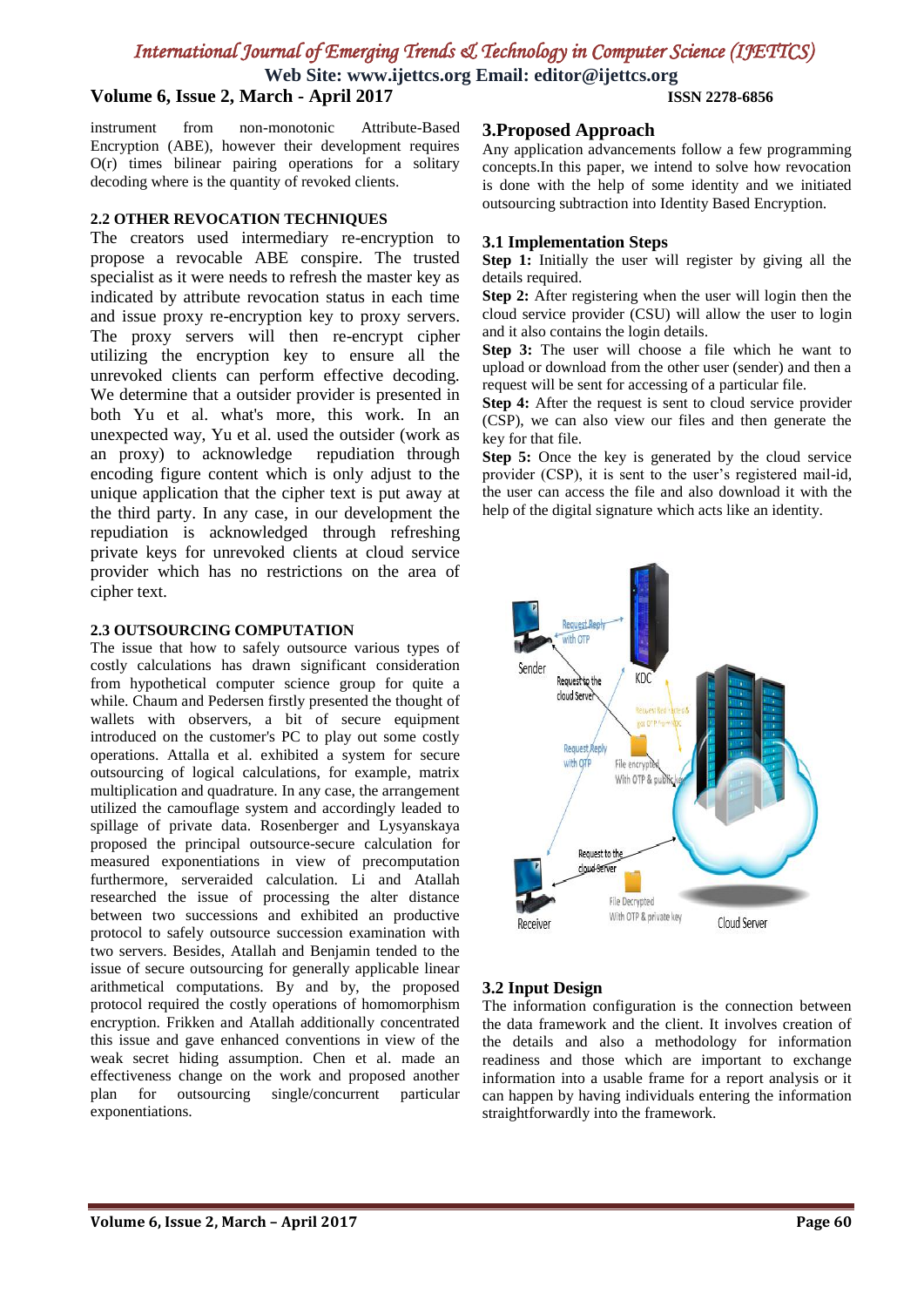## *International Journal of Emerging Trends & Technology in Computer Science (IJETTCS)*

**Web Site: www.ijettcs.org Email: editor@ijettcs.org**

### **Volume 6, Issue 2, March - April 2017 ISSN 2278-6856**

instrument from non-monotonic Attribute-Based Encryption (ABE), however their development requires O(r) times bilinear pairing operations for a solitary decoding where is the quantity of revoked clients.

#### **2.2 OTHER REVOCATION TECHNIQUES**

The creators used intermediary re-encryption to propose a revocable ABE conspire. The trusted specialist as it were needs to refresh the master key as indicated by attribute revocation status in each time and issue proxy re-encryption key to proxy servers. The proxy servers will then re-encrypt cipher utilizing the encryption key to ensure all the unrevoked clients can perform effective decoding. We determine that a outsider provider is presented in both Yu et al. what's more, this work. In an unexpected way, Yu et al. used the outsider (work as an proxy) to acknowledge repudiation through encoding figure content which is only adjust to the unique application that the cipher text is put away at the third party. In any case, in our development the repudiation is acknowledged through refreshing private keys for unrevoked clients at cloud service provider which has no restrictions on the area of cipher text.

#### **2.3 OUTSOURCING COMPUTATION**

The issue that how to safely outsource various types of costly calculations has drawn significant consideration from hypothetical computer science group for quite a while. Chaum and Pedersen firstly presented the thought of wallets with observers, a bit of secure equipment introduced on the customer's PC to play out some costly operations. Attalla et al. exhibited a system for secure outsourcing of logical calculations, for example, matrix multiplication and quadrature. In any case, the arrangement utilized the camouflage system and accordingly leaded to spillage of private data. Rosenberger and Lysyanskaya proposed the principal outsource-secure calculation for measured exponentiations in view of precomputation furthermore, serveraided calculation. Li and Atallah researched the issue of processing the alter distance between two successions and exhibited an productive protocol to safely outsource succession examination with two servers. Besides, Atallah and Benjamin tended to the issue of secure outsourcing for generally applicable linear arithmetical computations. By and by, the proposed protocol required the costly operations of homomorphism encryption. Frikken and Atallah additionally concentrated this issue and gave enhanced conventions in view of the weak secret hiding assumption. Chen et al. made an effectiveness change on the work and proposed another plan for outsourcing single/concurrent particular exponentiations.

#### **3.Proposed Approach**

Any application advancements follow a few programming concepts.In this paper, we intend to solve how revocation is done with the help of some identity and we initiated outsourcing subtraction into Identity Based Encryption.

#### **3.1 Implementation Steps**

**Step 1:** Initially the user will register by giving all the details required.

**Step 2:** After registering when the user will login then the cloud service provider (CSU) will allow the user to login and it also contains the login details.

**Step 3:** The user will choose a file which he want to upload or download from the other user (sender) and then a request will be sent for accessing of a particular file.

**Step 4:** After the request is sent to cloud service provider (CSP), we can also view our files and then generate the key for that file.

**Step 5:** Once the key is generated by the cloud service provider (CSP), it is sent to the user's registered mail-id, the user can access the file and also download it with the help of the digital signature which acts like an identity.



#### **3.2 Input Design**

The information configuration is the connection between the data framework and the client. It involves creation of the details and also a methodology for information readiness and those which are important to exchange information into a usable frame for a report analysis or it can happen by having individuals entering the information straightforwardly into the framework.